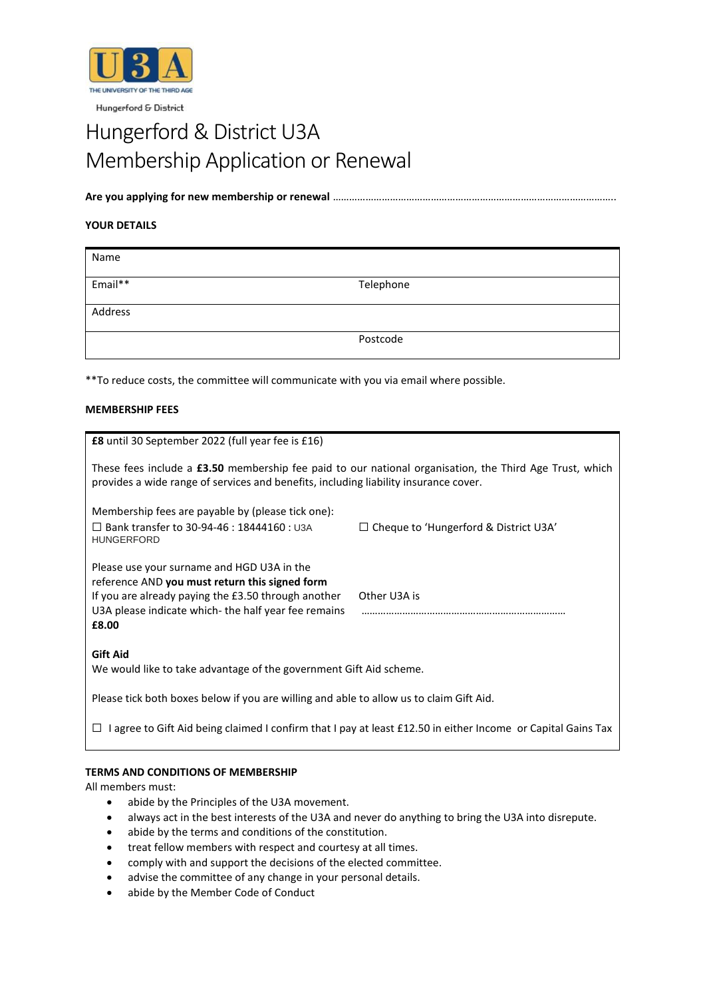

Hungerford & District

# Hungerford & District U3A Membership Application or Renewal

**Are you applying for new membership or renewal** …………………………………………………………………………………………..

# **YOUR DETAILS**

| Name    |           |
|---------|-----------|
| Email** | Telephone |
| Address |           |
|         | Postcode  |

\*\*To reduce costs, the committee will communicate with you via email where possible.

# **MEMBERSHIP FEES**

| <b>£8</b> until 30 September 2022 (full year fee is £16)                                                                                                                                                            |                                              |  |
|---------------------------------------------------------------------------------------------------------------------------------------------------------------------------------------------------------------------|----------------------------------------------|--|
| These fees include a £3.50 membership fee paid to our national organisation, the Third Age Trust, which<br>provides a wide range of services and benefits, including liability insurance cover.                     |                                              |  |
| Membership fees are payable by (please tick one):<br>$\Box$ Bank transfer to 30-94-46 : 18444160 : U3A<br><b>HUNGERFORD</b>                                                                                         | $\Box$ Cheque to 'Hungerford & District U3A' |  |
| Please use your surname and HGD U3A in the<br>reference AND you must return this signed form<br>If you are already paying the £3.50 through another<br>U3A please indicate which-the half year fee remains<br>£8.00 | Other U3A is                                 |  |
| <b>Gift Aid</b><br>We would like to take advantage of the government Gift Aid scheme.                                                                                                                               |                                              |  |
| Please tick both boxes below if you are willing and able to allow us to claim Gift Aid.                                                                                                                             |                                              |  |
| I agree to Gift Aid being claimed I confirm that I pay at least £12.50 in either Income or Capital Gains Tax<br>⊔                                                                                                   |                                              |  |
|                                                                                                                                                                                                                     |                                              |  |

# **TERMS AND CONDITIONS OF MEMBERSHIP**

All members must:

- abide by the Principles of the U3A movement.
- always act in the best interests of the U3A and never do anything to bring the U3A into disrepute.
- abide by the terms and conditions of the constitution.
- treat fellow members with respect and courtesy at all times.
- comply with and support the decisions of the elected committee.
- advise the committee of any change in your personal details.
- abide by the Member Code of Conduct